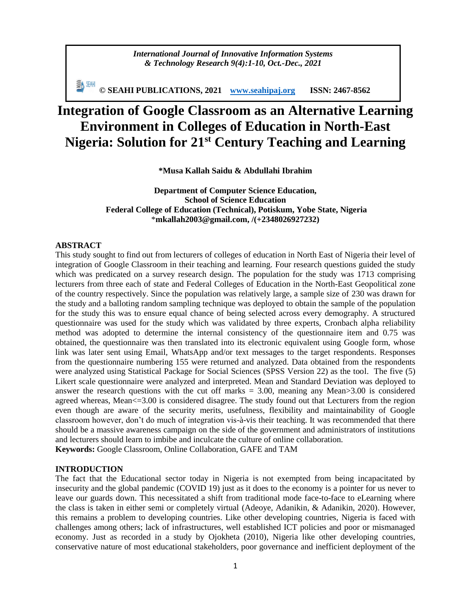*International Journal of Innovative Information Systems & Technology Research 9(4):1-10, Oct.-Dec., 2021*

**© SEAHI PUBLICATIONS, 2021 [www.seahipaj.org](http://www.seahipaj.org/) ISSN: 2467-8562**

# **Integration of Google Classroom as an Alternative Learning Environment in Colleges of Education in North-East Nigeria: Solution for 21st Century Teaching and Learning**

**\*Musa Kallah Saidu & Abdullahi Ibrahim**

**Department of Computer Science Education, School of Science Education Federal College of Education (Technical), Potiskum, Yobe State, Nigeria** \***[mkallah2003@gmail.com,](mailto:mkallah2003@gmail.com) /(+2348026927232)**

# **ABSTRACT**

This study sought to find out from lecturers of colleges of education in North East of Nigeria their level of integration of Google Classroom in their teaching and learning. Four research questions guided the study which was predicated on a survey research design. The population for the study was 1713 comprising lecturers from three each of state and Federal Colleges of Education in the North-East Geopolitical zone of the country respectively. Since the population was relatively large, a sample size of 230 was drawn for the study and a balloting random sampling technique was deployed to obtain the sample of the population for the study this was to ensure equal chance of being selected across every demography. A structured questionnaire was used for the study which was validated by three experts, Cronbach alpha reliability method was adopted to determine the internal consistency of the questionnaire item and 0.75 was obtained, the questionnaire was then translated into its electronic equivalent using Google form, whose link was later sent using Email, WhatsApp and/or text messages to the target respondents. Responses from the questionnaire numbering 155 were returned and analyzed. Data obtained from the respondents were analyzed using Statistical Package for Social Sciences (SPSS Version 22) as the tool. The five (5) Likert scale questionnaire were analyzed and interpreted. Mean and Standard Deviation was deployed to answer the research questions with the cut off marks  $= 3.00$ , meaning any Mean $> 3.00$  is considered agreed whereas, Mean<=3.00 is considered disagree. The study found out that Lecturers from the region even though are aware of the security merits, usefulness, flexibility and maintainability of Google classroom however, don't do much of integration vis-à-vis their teaching. It was recommended that there should be a massive awareness campaign on the side of the government and administrators of institutions and lecturers should learn to imbibe and inculcate the culture of online collaboration. **Keywords:** Google Classroom, Online Collaboration, GAFE and TAM

#### **INTRODUCTION**

The fact that the Educational sector today in Nigeria is not exempted from being incapacitated by insecurity and the global pandemic (COVID 19) just as it does to the economy is a pointer for us never to leave our guards down. This necessitated a shift from traditional mode face-to-face to eLearning where the class is taken in either semi or completely virtual (Adeoye, Adanikin, & Adanikin, 2020). However, this remains a problem to developing countries. Like other developing countries, Nigeria is faced with challenges among others; lack of infrastructures, well established ICT policies and poor or mismanaged economy. Just as recorded in a study by Ojokheta (2010), Nigeria like other developing countries, conservative nature of most educational stakeholders, poor governance and inefficient deployment of the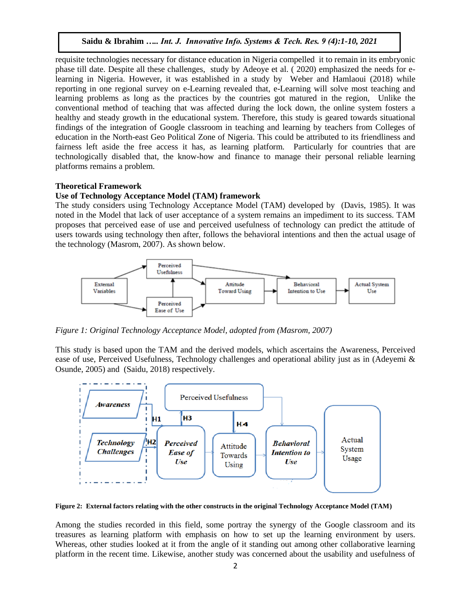requisite technologies necessary for distance education in Nigeria compelled it to remain in its embryonic phase till date. Despite all these challenges, study by Adeoye et al. ( 2020) emphasized the needs for elearning in Nigeria. However, it was established in a study by Weber and Hamlaoui (2018) while reporting in one regional survey on e-Learning revealed that, e-Learning will solve most teaching and learning problems as long as the practices by the countries got matured in the region, Unlike the conventional method of teaching that was affected during the lock down, the online system fosters a healthy and steady growth in the educational system. Therefore, this study is geared towards situational findings of the integration of Google classroom in teaching and learning by teachers from Colleges of education in the North-east Geo Political Zone of Nigeria. This could be attributed to its friendliness and fairness left aside the free access it has, as learning platform. Particularly for countries that are technologically disabled that, the know-how and finance to manage their personal reliable learning platforms remains a problem.

# **Theoretical Framework**

# **Use of Technology Acceptance Model (TAM) framework**

The study considers using Technology Acceptance Model (TAM) developed by (Davis, 1985). It was noted in the Model that lack of user acceptance of a system remains an impediment to its success. TAM proposes that perceived ease of use and perceived usefulness of technology can predict the attitude of users towards using technology then after, follows the behavioral intentions and then the actual usage of the technology (Masrom, 2007). As shown below.



*Figure 1: Original Technology Acceptance Model, adopted from (Masrom, 2007)*

This study is based upon the TAM and the derived models, which ascertains the Awareness, Perceived ease of use, Perceived Usefulness, Technology challenges and operational ability just as in (Adeyemi & Osunde, 2005) and (Saidu, 2018) respectively.



**Figure 2: External factors relating with the other constructs in the original Technology Acceptance Model (TAM)**

Among the studies recorded in this field, some portray the synergy of the Google classroom and its treasures as learning platform with emphasis on how to set up the learning environment by users. Whereas, other studies looked at it from the angle of it standing out among other collaborative learning platform in the recent time. Likewise, another study was concerned about the usability and usefulness of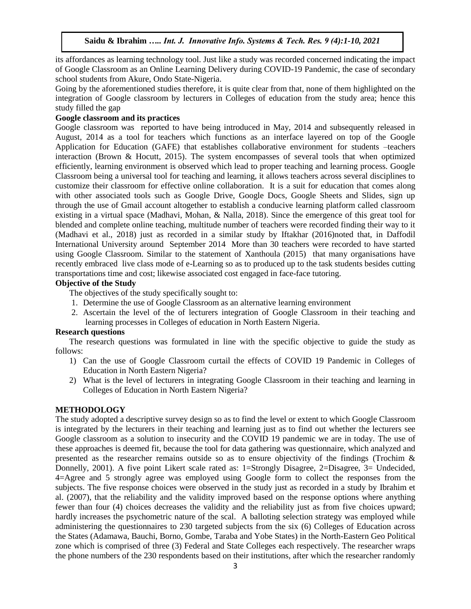its affordances as learning technology tool. Just like a study was recorded concerned indicating the impact of Google Classroom as an Online Learning Delivery during COVID-19 Pandemic, the case of secondary school students from Akure, Ondo State-Nigeria.

Going by the aforementioned studies therefore, it is quite clear from that, none of them highlighted on the integration of Google classroom by lecturers in Colleges of education from the study area; hence this study filled the gap

# **Google classroom and its practices**

Google classroom was reported to have being introduced in May, 2014 and subsequently released in August, 2014 as a tool for teachers which functions as an interface layered on top of the Google Application for Education (GAFE) that establishes collaborative environment for students –teachers interaction (Brown & Hocutt, 2015). The system encompasses of several tools that when optimized efficiently, learning environment is observed which lead to proper teaching and learning process. Google Classroom being a universal tool for teaching and learning, it allows teachers across several disciplines to customize their classroom for effective online collaboration. It is a suit for education that comes along with other associated tools such as Google Drive, Google Docs, Google Sheets and Slides, sign up through the use of Gmail account altogether to establish a conducive learning platform called classroom existing in a virtual space (Madhavi, Mohan, & Nalla, 2018). Since the emergence of this great tool for blended and complete online teaching, multitude number of teachers were recorded finding their way to it (Madhavi et al., 2018) just as recorded in a similar study by Iftakhar (2016)noted that, in Daffodil International University around September 2014 More than 30 teachers were recorded to have started using Google Classroom. Similar to the statement of Xanthoula (2015) that many organisations have recently embraced live class mode of e-Learning so as to produced up to the task students besides cutting transportations time and cost; likewise associated cost engaged in face-face tutoring.

# **Objective of the Study**

The objectives of the study specifically sought to:

- 1. Determine the use of Google Classroom as an alternative learning environment
- 2. Ascertain the level of the of lecturers integration of Google Classroom in their teaching and learning processes in Colleges of education in North Eastern Nigeria.

# **Research questions**

The research questions was formulated in line with the specific objective to guide the study as follows:

- 1) Can the use of Google Classroom curtail the effects of COVID 19 Pandemic in Colleges of Education in North Eastern Nigeria?
- 2) What is the level of lecturers in integrating Google Classroom in their teaching and learning in Colleges of Education in North Eastern Nigeria?

# **METHODOLOGY**

The study adopted a descriptive survey design so as to find the level or extent to which Google Classroom is integrated by the lecturers in their teaching and learning just as to find out whether the lecturers see Google classroom as a solution to insecurity and the COVID 19 pandemic we are in today. The use of these approaches is deemed fit, because the tool for data gathering was questionnaire, which analyzed and presented as the researcher remains outside so as to ensure objectivity of the findings (Trochim & Donnelly, 2001). A five point Likert scale rated as: 1=Strongly Disagree, 2=Disagree, 3= Undecided, 4=Agree and 5 strongly agree was employed using Google form to collect the responses from the subjects. The five response choices were observed in the study just as recorded in a study by Ibrahim et al. (2007), that the reliability and the validity improved based on the response options where anything fewer than four (4) choices decreases the validity and the reliability just as from five choices upward; hardly increases the psychometric nature of the scal. A balloting selection strategy was employed while administering the questionnaires to 230 targeted subjects from the six (6) Colleges of Education across the States (Adamawa, Bauchi, Borno, Gombe, Taraba and Yobe States) in the North-Eastern Geo Political zone which is comprised of three (3) Federal and State Colleges each respectively. The researcher wraps the phone numbers of the 230 respondents based on their institutions, after which the researcher randomly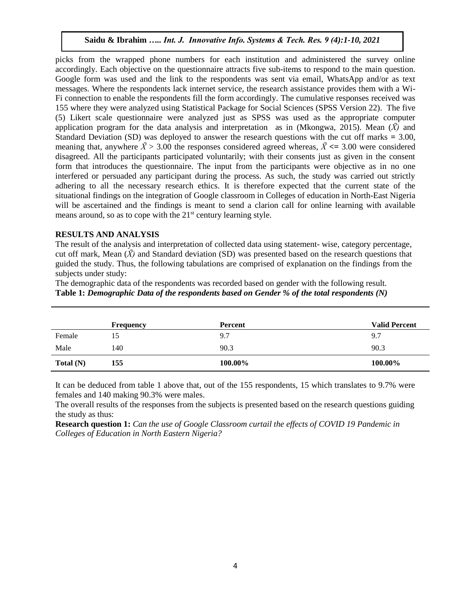picks from the wrapped phone numbers for each institution and administered the survey online accordingly. Each objective on the questionnaire attracts five sub-items to respond to the main question. Google form was used and the link to the respondents was sent via email, WhatsApp and/or as text messages. Where the respondents lack internet service, the research assistance provides them with a Wi-Fi connection to enable the respondents fill the form accordingly. The cumulative responses received was 155 where they were analyzed using Statistical Package for Social Sciences (SPSS Version 22). The five (5) Likert scale questionnaire were analyzed just as SPSS was used as the appropriate computer application program for the data analysis and interpretation as in (Mkongwa, 2015). Mean  $(\bar{X})$  and Standard Deviation (SD) was deployed to answer the research questions with the cut off marks **=** 3.00, meaning that, anywhere  $\bar{X} > 3.00$  the responses considered agreed whereas,  $\bar{X} \le 3.00$  were considered disagreed. All the participants participated voluntarily; with their consents just as given in the consent form that introduces the questionnaire. The input from the participants were objective as in no one interfered or persuaded any participant during the process. As such, the study was carried out strictly adhering to all the necessary research ethics. It is therefore expected that the current state of the situational findings on the integration of Google classroom in Colleges of education in North-East Nigeria will be ascertained and the findings is meant to send a clarion call for online learning with available means around, so as to cope with the 21<sup>st</sup> century learning style.

# **RESULTS AND ANALYSIS**

The result of the analysis and interpretation of collected data using statement- wise, category percentage, cut off mark, Mean  $(\bar{X})$  and Standard deviation (SD) was presented based on the research questions that guided the study. Thus, the following tabulations are comprised of explanation on the findings from the subjects under study:

The demographic data of the respondents was recorded based on gender with the following result. **Table 1:** *Demographic Data of the respondents based on Gender % of the total respondents (N)*

|             | <b>Frequency</b> | <b>Percent</b> | <b>Valid Percent</b> |
|-------------|------------------|----------------|----------------------|
| Female      | 15               | 9.7            | 9.7                  |
| Male        | 140              | 90.3           | 90.3                 |
| Total $(N)$ | 155              | 100.00%        | 100.00%              |

It can be deduced from table 1 above that, out of the 155 respondents, 15 which translates to 9.7% were females and 140 making 90.3% were males.

The overall results of the responses from the subjects is presented based on the research questions guiding the study as thus:

**Research question 1:** *Can the use of Google Classroom curtail the effects of COVID 19 Pandemic in Colleges of Education in North Eastern Nigeria?*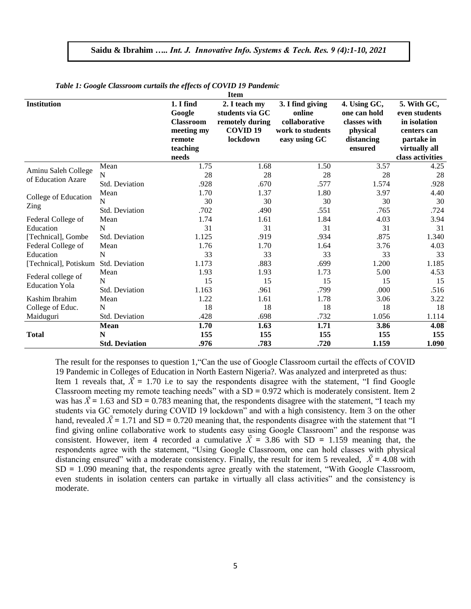| <b>Item</b>           |                       |                     |                                  |                            |                              |                              |  |
|-----------------------|-----------------------|---------------------|----------------------------------|----------------------------|------------------------------|------------------------------|--|
| Institution           |                       | 1. I find<br>Google | 2. I teach my<br>students via GC | 3. I find giving<br>online | 4. Using GC,<br>one can hold | 5. With GC,<br>even students |  |
|                       |                       | <b>Classroom</b>    | remotely during                  | collaborative              | classes with                 | in isolation                 |  |
|                       |                       | meeting my          | <b>COVID 19</b>                  | work to students           | physical                     | centers can                  |  |
|                       |                       | remote              | lockdown                         | easy using GC              | distancing                   | partake in                   |  |
|                       |                       | teaching            |                                  |                            | ensured                      | virtually all                |  |
|                       |                       | needs               |                                  |                            |                              | class activities             |  |
| Aminu Saleh College   | Mean                  | 1.75                | 1.68                             | 1.50                       | 3.57                         | 4.25                         |  |
| of Education Azare    | N                     | 28                  | 28                               | 28                         | 28                           | 28                           |  |
|                       | <b>Std. Deviation</b> | .928                | .670                             | .577                       | 1.574                        | .928                         |  |
| College of Education  | Mean                  | 1.70                | 1.37                             | 1.80                       | 3.97                         | 4.40                         |  |
|                       | N                     | 30                  | 30                               | 30                         | 30                           | 30                           |  |
| Zing                  | Std. Deviation        | .702                | .490                             | .551                       | .765                         | .724                         |  |
| Federal College of    | Mean                  | 1.74                | 1.61                             | 1.84                       | 4.03                         | 3.94                         |  |
| Education             | N                     | 31                  | 31                               | 31                         | 31                           | 31                           |  |
| [Technical], Gombe    | Std. Deviation        | 1.125               | .919                             | .934                       | .875                         | 1.340                        |  |
| Federal College of    | Mean                  | 1.76                | 1.70                             | 1.64                       | 3.76                         | 4.03                         |  |
| Education             | N                     | 33                  | 33                               | 33                         | 33                           | 33                           |  |
| [Technical], Potiskum | Std. Deviation        | 1.173               | .883                             | .699                       | 1.200                        | 1.185                        |  |
| Federal college of    | Mean                  | 1.93                | 1.93                             | 1.73                       | 5.00                         | 4.53                         |  |
| <b>Education Yola</b> | N                     | 15                  | 15                               | 15                         | 15                           | 15                           |  |
|                       | <b>Std. Deviation</b> | 1.163               | .961                             | .799                       | .000                         | .516                         |  |
| Kashim Ibrahim        | Mean                  | 1.22                | 1.61                             | 1.78                       | 3.06                         | 3.22                         |  |
| College of Educ.      | N                     | 18                  | 18                               | 18                         | 18                           | 18                           |  |
| Maiduguri             | Std. Deviation        | .428                | .698                             | .732                       | 1.056                        | 1.114                        |  |
|                       | Mean                  | 1.70                | 1.63                             | 1.71                       | 3.86                         | 4.08                         |  |
| <b>Total</b>          | N                     | 155                 | 155                              | 155                        | 155                          | 155                          |  |
|                       | <b>Std. Deviation</b> | .976                | .783                             | .720                       | 1.159                        | 1.090                        |  |

*Table 1: Google Classroom curtails the effects of COVID 19 Pandemic*

The result for the responses to question 1,"Can the use of Google Classroom curtail the effects of COVID 19 Pandemic in Colleges of Education in North Eastern Nigeria?. Was analyzed and interpreted as thus: Item 1 reveals that,  $\bar{X} = 1.70$  i.e to say the respondents disagree with the statement, "I find Google Classroom meeting my remote teaching needs" with a SD **=** 0.972 which is moderately consistent. Item 2 was has  $\bar{X}$  = 1.63 and SD = 0.783 meaning that, the respondents disagree with the statement, "I teach my students via GC remotely during COVID 19 lockdown" and with a high consistency. Item 3 on the other hand, revealed  $\bar{X}$  = 1.71 and SD = 0.720 meaning that, the respondents disagree with the statement that "I find giving online collaborative work to students easy using Google Classroom" and the response was consistent. However, item 4 recorded a cumulative  $\overline{X} = 3.86$  with SD = 1.159 meaning that, the respondents agree with the statement, "Using Google Classroom, one can hold classes with physical distancing ensured" with a moderate consistency. Finally, the result for item 5 revealed,  $\bar{X} = 4.08$  with SD = 1.090 meaning that, the respondents agree greatly with the statement, "With Google Classroom, even students in isolation centers can partake in virtually all class activities" and the consistency is moderate.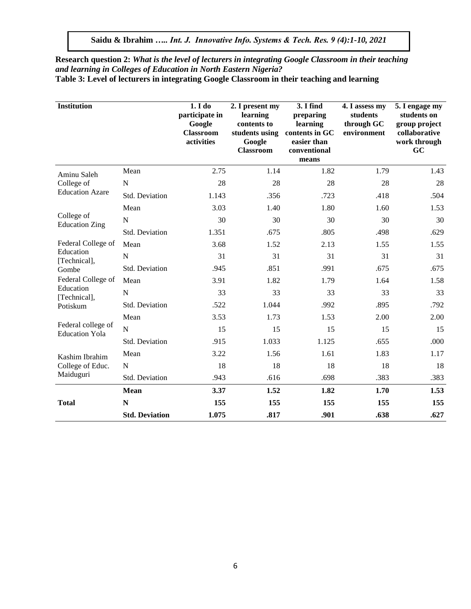**Research question 2:** *What is the level of lecturers in integrating Google Classroom in their teaching and learning in Colleges of Education in North Eastern Nigeria?* **Table 3: Level of lecturers in integrating Google Classroom in their teaching and learning** 

| <b>Institution</b>                          |                       | 1. I do<br>participate in<br>Google<br><b>Classroom</b><br>activities | 2. I present my<br>learning<br>contents to<br>students using<br>Google<br><b>Classroom</b> | 3. I find<br>preparing<br>learning<br>contents in GC<br>easier than<br>conventional<br>means | 4. I assess my<br>students<br>through GC<br>environment | 5. I engage my<br>students on<br>group project<br>collaborative<br>work through<br>GC |
|---------------------------------------------|-----------------------|-----------------------------------------------------------------------|--------------------------------------------------------------------------------------------|----------------------------------------------------------------------------------------------|---------------------------------------------------------|---------------------------------------------------------------------------------------|
| Aminu Saleh                                 | Mean                  | 2.75                                                                  | 1.14                                                                                       | 1.82                                                                                         | 1.79                                                    | 1.43                                                                                  |
| College of                                  | N                     | 28                                                                    | 28                                                                                         | 28                                                                                           | 28                                                      | 28                                                                                    |
| <b>Education Azare</b>                      | Std. Deviation        | 1.143                                                                 | .356                                                                                       | .723                                                                                         | .418                                                    | .504                                                                                  |
|                                             | Mean                  | 3.03                                                                  | 1.40                                                                                       | 1.80                                                                                         | 1.60                                                    | 1.53                                                                                  |
| College of<br><b>Education Zing</b>         | N                     | 30                                                                    | 30                                                                                         | 30                                                                                           | 30                                                      | 30                                                                                    |
|                                             | Std. Deviation        | 1.351                                                                 | .675                                                                                       | .805                                                                                         | .498                                                    | .629                                                                                  |
| Federal College of                          | Mean                  | 3.68                                                                  | 1.52                                                                                       | 2.13                                                                                         | 1.55                                                    | 1.55                                                                                  |
| Education<br>[Technical],                   | $\mathbf N$           | 31                                                                    | 31                                                                                         | 31                                                                                           | 31                                                      | 31                                                                                    |
| Gombe                                       | Std. Deviation        | .945                                                                  | .851                                                                                       | .991                                                                                         | .675                                                    | .675                                                                                  |
| Federal College of                          | Mean                  | 3.91                                                                  | 1.82                                                                                       | 1.79                                                                                         | 1.64                                                    | 1.58                                                                                  |
| Education<br>[Technical],                   | $\mathbf N$           | 33                                                                    | 33                                                                                         | 33                                                                                           | 33                                                      | 33                                                                                    |
| Potiskum                                    | Std. Deviation        | .522                                                                  | 1.044                                                                                      | .992                                                                                         | .895                                                    | .792                                                                                  |
|                                             | Mean                  | 3.53                                                                  | 1.73                                                                                       | 1.53                                                                                         | 2.00                                                    | 2.00                                                                                  |
| Federal college of<br><b>Education Yola</b> | $\overline{N}$        | 15                                                                    | 15                                                                                         | 15                                                                                           | 15                                                      | 15                                                                                    |
|                                             | Std. Deviation        | .915                                                                  | 1.033                                                                                      | 1.125                                                                                        | .655                                                    | .000                                                                                  |
| Kashim Ibrahim                              | Mean                  | 3.22                                                                  | 1.56                                                                                       | 1.61                                                                                         | 1.83                                                    | 1.17                                                                                  |
| College of Educ.                            | $\mathbf N$           | 18                                                                    | 18                                                                                         | 18                                                                                           | 18                                                      | 18                                                                                    |
| Maiduguri                                   | Std. Deviation        | .943                                                                  | .616                                                                                       | .698                                                                                         | .383                                                    | .383                                                                                  |
|                                             | <b>Mean</b>           | 3.37                                                                  | 1.52                                                                                       | 1.82                                                                                         | 1.70                                                    | 1.53                                                                                  |
| <b>Total</b>                                | N                     | 155                                                                   | 155                                                                                        | 155                                                                                          | 155                                                     | 155                                                                                   |
|                                             | <b>Std. Deviation</b> | 1.075                                                                 | .817                                                                                       | .901                                                                                         | .638                                                    | .627                                                                                  |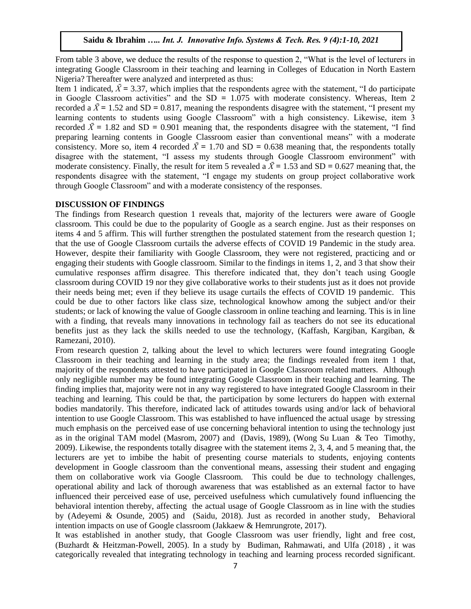From table 3 above, we deduce the results of the response to question 2, "What is the level of lecturers in integrating Google Classroom in their teaching and learning in Colleges of Education in North Eastern Nigeria? Thereafter were analyzed and interpreted as thus:

Item 1 indicated,  $\bar{X}$  = 3.37, which implies that the respondents agree with the statement, "I do participate in Google Classroom activities" and the SD **=** 1.075 with moderate consistency. Whereas, Item 2 recorded a  $\bar{X}$  = 1.52 and SD = 0.817, meaning the respondents disagree with the statement, "I present my learning contents to students using Google Classroom" with a high consistency. Likewise, item 3 recorded  $\bar{X}$  = 1.82 and SD = 0.901 meaning that, the respondents disagree with the statement, "I find preparing learning contents in Google Classroom easier than conventional means" with a moderate consistency. More so, item 4 recorded  $\bar{X} = 1.70$  and SD = 0.638 meaning that, the respondents totally disagree with the statement, "I assess my students through Google Classroom environment" with moderate consistency. Finally, the result for item 5 revealed a  $\overline{X}$  = 1.53 and SD = 0.627 meaning that, the respondents disagree with the statement, "I engage my students on group project collaborative work through Google Classroom" and with a moderate consistency of the responses.

## **DISCUSSION OF FINDINGS**

The findings from Research question 1 reveals that, majority of the lecturers were aware of Google classroom. This could be due to the popularity of Google as a search engine. Just as their responses on items 4 and 5 affirm. This will further strengthen the postulated statement from the research question 1; that the use of Google Classroom curtails the adverse effects of COVID 19 Pandemic in the study area. However, despite their familiarity with Google Classroom, they were not registered, practicing and or engaging their students with Google classroom. Similar to the findings in items 1, 2, and 3 that show their cumulative responses affirm disagree. This therefore indicated that, they don't teach using Google classroom during COVID 19 nor they give collaborative works to their students just as it does not provide their needs being met; even if they believe its usage curtails the effects of COVID 19 pandemic. This could be due to other factors like class size, technological knowhow among the subject and/or their students; or lack of knowing the value of Google classroom in online teaching and learning. This is in line with a finding, that reveals many innovations in technology fail as teachers do not see its educational benefits just as they lack the skills needed to use the technology, (Kaffash, Kargiban, Kargiban, & Ramezani, 2010).

From research question 2, talking about the level to which lecturers were found integrating Google Classroom in their teaching and learning in the study area; the findings revealed from item 1 that, majority of the respondents attested to have participated in Google Classroom related matters. Although only negligible number may be found integrating Google Classroom in their teaching and learning. The finding implies that, majority were not in any way registered to have integrated Google Classroom in their teaching and learning. This could be that, the participation by some lecturers do happen with external bodies mandatorily. This therefore, indicated lack of attitudes towards using and/or lack of behavioral intention to use Google Classroom. This was established to have influenced the actual usage by stressing much emphasis on the perceived ease of use concerning behavioral intention to using the technology just as in the original TAM model (Masrom, 2007) and (Davis, 1989), (Wong Su Luan & Teo Timothy, 2009). Likewise, the respondents totally disagree with the statement items 2, 3, 4, and 5 meaning that, the lecturers are yet to imbibe the habit of presenting course materials to students, enjoying contents development in Google classroom than the conventional means, assessing their student and engaging them on collaborative work via Google Classroom. This could be due to technology challenges, operational ability and lack of thorough awareness that was established as an external factor to have influenced their perceived ease of use, perceived usefulness which cumulatively found influencing the behavioral intention thereby, affecting the actual usage of Google Classroom as in line with the studies by (Adeyemi & Osunde, 2005) and (Saidu, 2018). Just as recorded in another study, Behavioral intention impacts on use of Google classroom (Jakkaew & Hemrungrote, 2017).

It was established in another study, that Google Classroom was user friendly, light and free cost, (Buzhardt & Heitzman-Powell, 2005). In a study by Budiman, Rahmawati, and Ulfa (2018) , it was categorically revealed that integrating technology in teaching and learning process recorded significant.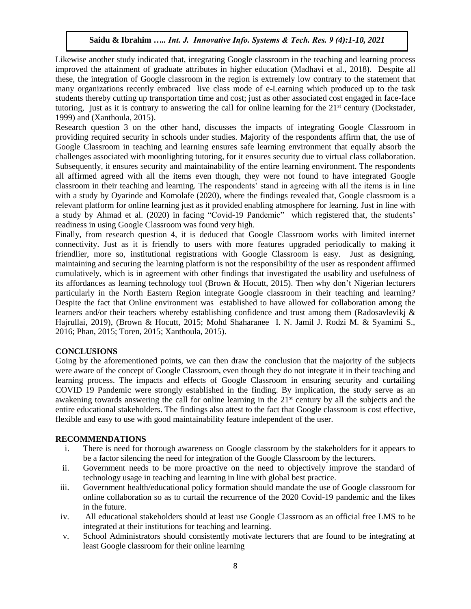Likewise another study indicated that, integrating Google classroom in the teaching and learning process improved the attainment of graduate attributes in higher education (Madhavi et al., 2018). Despite all these, the integration of Google classroom in the region is extremely low contrary to the statement that many organizations recently embraced live class mode of e-Learning which produced up to the task students thereby cutting up transportation time and cost; just as other associated cost engaged in face-face tutoring, just as it is contrary to answering the call for online learning for the  $21<sup>st</sup>$  century (Dockstader, 1999) and (Xanthoula, 2015).

Research question 3 on the other hand, discusses the impacts of integrating Google Classroom in providing required security in schools under studies. Majority of the respondents affirm that, the use of Google Classroom in teaching and learning ensures safe learning environment that equally absorb the challenges associated with moonlighting tutoring, for it ensures security due to virtual class collaboration. Subsequently, it ensures security and maintainability of the entire learning environment. The respondents all affirmed agreed with all the items even though, they were not found to have integrated Google classroom in their teaching and learning. The respondents' stand in agreeing with all the items is in line with a study by Oyarinde and Komolafe (2020), where the findings revealed that, Google classroom is a relevant platform for online learning just as it provided enabling atmosphere for learning. Just in line with a study by Ahmad et al. (2020) in facing "Covid-19 Pandemic" which registered that, the students' readiness in using Google Classroom was found very high.

Finally, from research question 4, it is deduced that Google Classroom works with limited internet connectivity. Just as it is friendly to users with more features upgraded periodically to making it friendlier, more so, institutional registrations with Google Classroom is easy. Just as designing, maintaining and securing the learning platform is not the responsibility of the user as respondent affirmed cumulatively, which is in agreement with other findings that investigated the usability and usefulness of its affordances as learning technology tool (Brown & Hocutt, 2015). Then why don't Nigerian lecturers particularly in the North Eastern Region integrate Google classroom in their teaching and learning? Despite the fact that Online environment was established to have allowed for collaboration among the learners and/or their teachers whereby establishing confidence and trust among them (Radosavlevikj & Hajrullai, 2019), (Brown & Hocutt, 2015; Mohd Shaharanee I. N. Jamil J. Rodzi M. & Syamimi S., 2016; Phan, 2015; Toren, 2015; Xanthoula, 2015).

# **CONCLUSIONS**

Going by the aforementioned points, we can then draw the conclusion that the majority of the subjects were aware of the concept of Google Classroom, even though they do not integrate it in their teaching and learning process. The impacts and effects of Google Classroom in ensuring security and curtailing COVID 19 Pandemic were strongly established in the finding. By implication, the study serve as an awakening towards answering the call for online learning in the 21<sup>st</sup> century by all the subjects and the entire educational stakeholders. The findings also attest to the fact that Google classroom is cost effective, flexible and easy to use with good maintainability feature independent of the user.

# **RECOMMENDATIONS**

- i. There is need for thorough awareness on Google classroom by the stakeholders for it appears to be a factor silencing the need for integration of the Google Classroom by the lecturers.
- ii. Government needs to be more proactive on the need to objectively improve the standard of technology usage in teaching and learning in line with global best practice.
- iii. Government health/educational policy formation should mandate the use of Google classroom for online collaboration so as to curtail the recurrence of the 2020 Covid-19 pandemic and the likes in the future.
- iv. All educational stakeholders should at least use Google Classroom as an official free LMS to be integrated at their institutions for teaching and learning.
- v. School Administrators should consistently motivate lecturers that are found to be integrating at least Google classroom for their online learning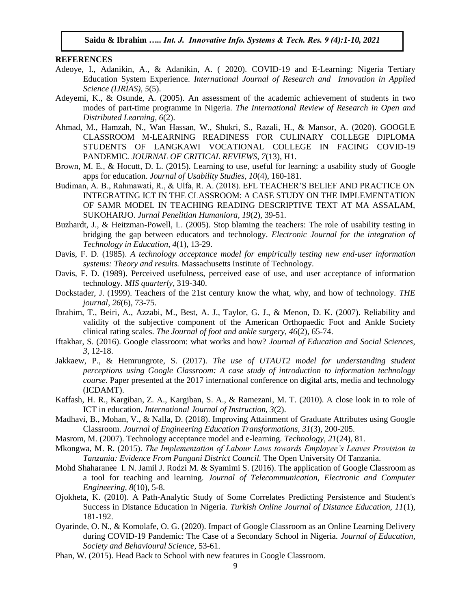#### **REFERENCES**

- Adeoye, I., Adanikin, A., & Adanikin, A. ( 2020). COVID-19 and E-Learning: Nigeria Tertiary Education System Experience. *International Journal of Research and Innovation in Applied Science (IJRIAS), 5*(5).
- Adeyemi, K., & Osunde, A. (2005). An assessment of the academic achievement of students in two modes of part-time programme in Nigeria. *The International Review of Research in Open and Distributed Learning, 6*(2).
- Ahmad, M., Hamzah, N., Wan Hassan, W., Shukri, S., Razali, H., & Mansor, A. (2020). GOOGLE CLASSROOM M-LEARNING READINESS FOR CULINARY COLLEGE DIPLOMA STUDENTS OF LANGKAWI VOCATIONAL COLLEGE IN FACING COVID-19 PANDEMIC. *JOURNAL OF CRITICAL REVIEWS, 7*(13), H1.
- Brown, M. E., & Hocutt, D. L. (2015). Learning to use, useful for learning: a usability study of Google apps for education. *Journal of Usability Studies, 10*(4), 160-181.
- Budiman, A. B., Rahmawati, R., & Ulfa, R. A. (2018). EFL TEACHER'S BELIEF AND PRACTICE ON INTEGRATING ICT IN THE CLASSROOM: A CASE STUDY ON THE IMPLEMENTATION OF SAMR MODEL IN TEACHING READING DESCRIPTIVE TEXT AT MA ASSALAM, SUKOHARJO. *Jurnal Penelitian Humaniora, 19*(2), 39-51.
- Buzhardt, J., & Heitzman-Powell, L. (2005). Stop blaming the teachers: The role of usability testing in bridging the gap between educators and technology. *Electronic Journal for the integration of Technology in Education, 4*(1), 13-29.
- Davis, F. D. (1985). *A technology acceptance model for empirically testing new end-user information systems: Theory and results.* Massachusetts Institute of Technology.
- Davis, F. D. (1989). Perceived usefulness, perceived ease of use, and user acceptance of information technology. *MIS quarterly*, 319-340.
- Dockstader, J. (1999). Teachers of the 21st century know the what, why, and how of technology. *THE journal, 26*(6), 73-75.
- Ibrahim, T., Beiri, A., Azzabi, M., Best, A. J., Taylor, G. J., & Menon, D. K. (2007). Reliability and validity of the subjective component of the American Orthopaedic Foot and Ankle Society clinical rating scales. *The Journal of foot and ankle surgery, 46*(2), 65-74.
- Iftakhar, S. (2016). Google classroom: what works and how? *Journal of Education and Social Sciences, 3*, 12-18.
- Jakkaew, P., & Hemrungrote, S. (2017). *The use of UTAUT2 model for understanding student perceptions using Google Classroom: A case study of introduction to information technology course.* Paper presented at the 2017 international conference on digital arts, media and technology (ICDAMT).
- Kaffash, H. R., Kargiban, Z. A., Kargiban, S. A., & Ramezani, M. T. (2010). A close look in to role of ICT in education. *International Journal of Instruction, 3*(2).
- Madhavi, B., Mohan, V., & Nalla, D. (2018). Improving Attainment of Graduate Attributes using Google Classroom. *Journal of Engineering Education Transformations, 31*(3), 200-205.
- Masrom, M. (2007). Technology acceptance model and e-learning. *Technology, 21*(24), 81.
- Mkongwa, M. R. (2015). *The Implementation of Labour Laws towards Employee's Leaves Provision in Tanzania: Evidence From Pangani District Council.* The Open University Of Tanzania.
- Mohd Shaharanee I. N. Jamil J. Rodzi M. & Syamimi S. (2016). The application of Google Classroom as a tool for teaching and learning. *Journal of Telecommunication, Electronic and Computer Engineering, 8*(10), 5-8.
- Ojokheta, K. (2010). A Path-Analytic Study of Some Correlates Predicting Persistence and Student's Success in Distance Education in Nigeria. *Turkish Online Journal of Distance Education, 11*(1), 181-192.
- Oyarinde, O. N., & Komolafe, O. G. (2020). Impact of Google Classroom as an Online Learning Delivery during COVID-19 Pandemic: The Case of a Secondary School in Nigeria. *Journal of Education, Society and Behavioural Science*, 53-61.
- Phan, W. (2015). Head Back to School with new features in Google Classroom.